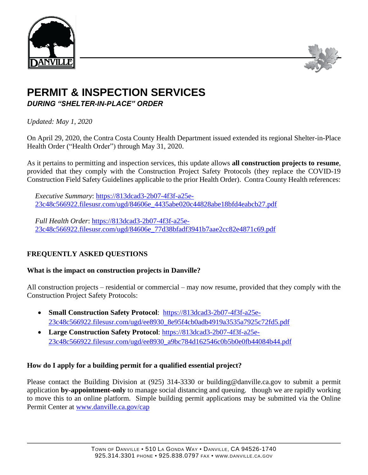



# **PERMIT & INSPECTION SERVICES**  *DURING "SHELTER-IN-PLACE" ORDER*

*Updated: May 1, 2020* 

On April 29, 2020, the Contra Costa County Health Department issued extended its regional Shelter-in-Place Health Order ("Health Order") through May 31, 2020.

As it pertains to permitting and inspection services, this update allows **all construction projects to resume**, provided that they comply with the Construction Project Safety Protocols (they replace the COVID-19 Construction Field Safety Guidelines applicable to the prior Health Order). Contra County Health references:

*Executive Summary*: [https://813dcad3-2b07-4f3f-a25e-](https://813dcad3-2b07-4f3f-a25e-23c48c566922.filesusr.com/ugd/84606e_4435abe020c44828abe18bfd4eabcb27.pdf)[23c48c566922.filesusr.com/ugd/84606e\\_4435abe020c44828abe18bfd4eabcb27.pdf](https://813dcad3-2b07-4f3f-a25e-23c48c566922.filesusr.com/ugd/84606e_4435abe020c44828abe18bfd4eabcb27.pdf)

*Full Health Order*: [https://813dcad3-2b07-4f3f-a25e-](https://813dcad3-2b07-4f3f-a25e-23c48c566922.filesusr.com/ugd/84606e_77d38bfadf3941b7aae2cc82e4871c69.pdf)[23c48c566922.filesusr.com/ugd/84606e\\_77d38bfadf3941b7aae2cc82e4871c69.pdf](https://813dcad3-2b07-4f3f-a25e-23c48c566922.filesusr.com/ugd/84606e_77d38bfadf3941b7aae2cc82e4871c69.pdf)

## **FREQUENTLY ASKED QUESTIONS**

## **What is the impact on construction projects in Danville?**

All construction projects – residential or commercial – may now resume, provided that they comply with the Construction Project Safety Protocols:

- **Small Construction Safety Protocol**: [https://813dcad3-2b07-4f3f-a25e-](https://813dcad3-2b07-4f3f-a25e-23c48c566922.filesusr.com/ugd/ee8930_8e95f4cb0adb4919a3535a7925c72fd5.pdf)[23c48c566922.filesusr.com/ugd/ee8930\\_8e95f4cb0adb4919a3535a7925c72fd5.pdf](https://813dcad3-2b07-4f3f-a25e-23c48c566922.filesusr.com/ugd/ee8930_8e95f4cb0adb4919a3535a7925c72fd5.pdf)
- **Large Construction Safety Protocol**: [https://813dcad3-2b07-4f3f-a25e-](https://813dcad3-2b07-4f3f-a25e-23c48c566922.filesusr.com/ugd/ee8930_a9bc784d162546c0b5b0e0fb44084b44.pdf)[23c48c566922.filesusr.com/ugd/ee8930\\_a9bc784d162546c0b5b0e0fb44084b44.pdf](https://813dcad3-2b07-4f3f-a25e-23c48c566922.filesusr.com/ugd/ee8930_a9bc784d162546c0b5b0e0fb44084b44.pdf)

## **How do I apply for a building permit for a qualified essential project?**

Please contact the Building Division at (925) 314-3330 or building@danville.ca.gov to submit a permit application **by-appointment-only** to manage social distancing and queuing. though we are rapidly working to move this to an online platform. Simple building permit applications may be submitted via the Online Permit Center at [www.danville.ca.gov/cap](http://www.danville.ca.gov/cap)